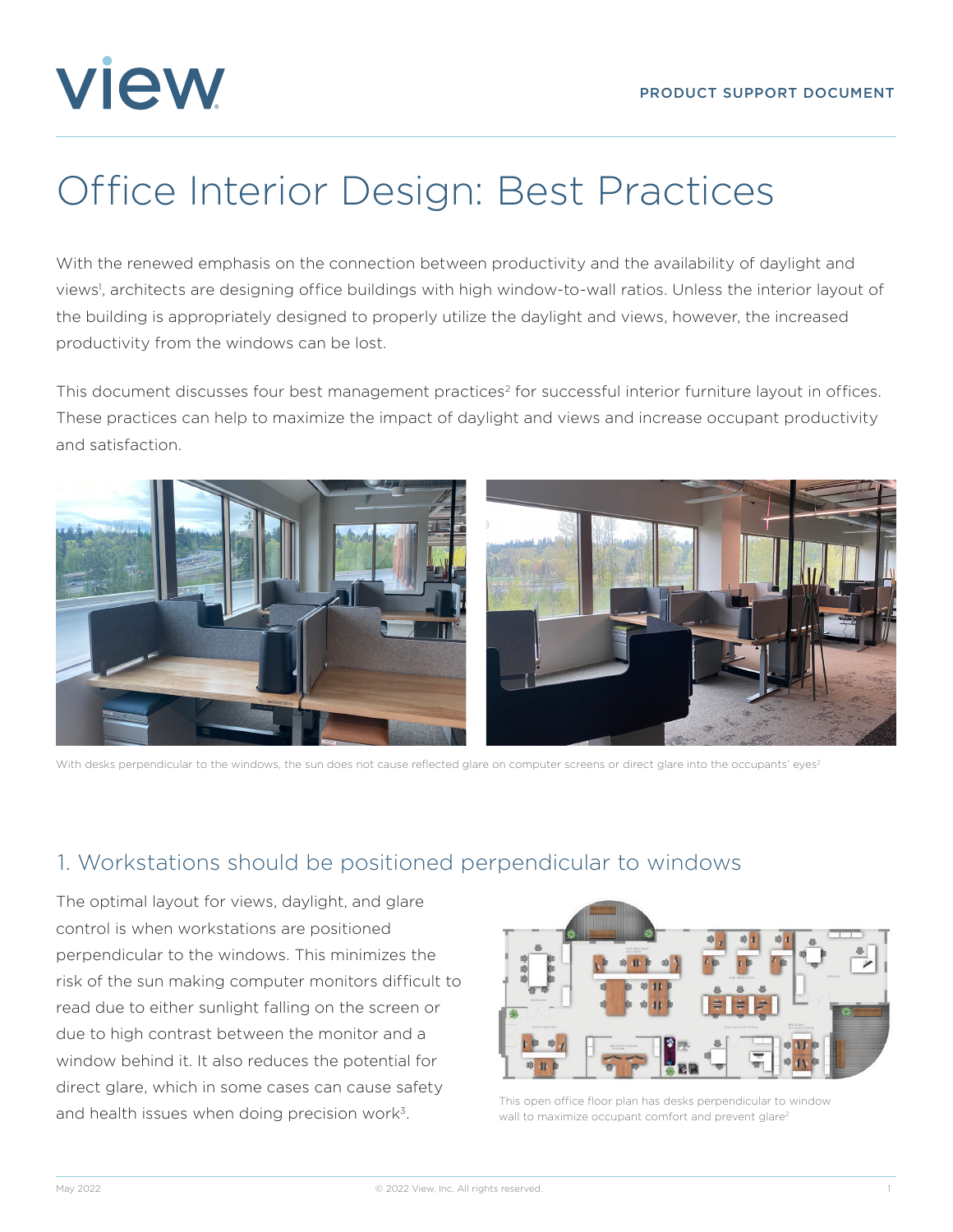# **view**

# Office Interior Design: Best Practices

With the renewed emphasis on the connection between productivity and the availability of daylight and views<sup>1</sup>, architects are designing office buildings with high window-to-wall ratios. Unless the interior layout of the building is appropriately designed to properly utilize the daylight and views, however, the increased productivity from the windows can be lost.

This document discusses four best management practices<sup>2</sup> for successful interior furniture layout in offices. These practices can help to maximize the impact of daylight and views and increase occupant productivity and satisfaction.



With desks perpendicular to the windows, the sun does not cause reflected glare on computer screens or direct glare into the occupants' eyes<sup>2</sup>

#### 1. Workstations should be positioned perpendicular to windows

The optimal layout for views, daylight, and glare control is when workstations are positioned perpendicular to the windows. This minimizes the risk of the sun making computer monitors difficult to read due to either sunlight falling on the screen or due to high contrast between the monitor and a window behind it. It also reduces the potential for direct glare, which in some cases can cause safety and health issues when doing precision work<sup>3</sup>.



This open office floor plan has desks perpendicular to window wall to maximize occupant comfort and prevent glare<sup>2</sup>